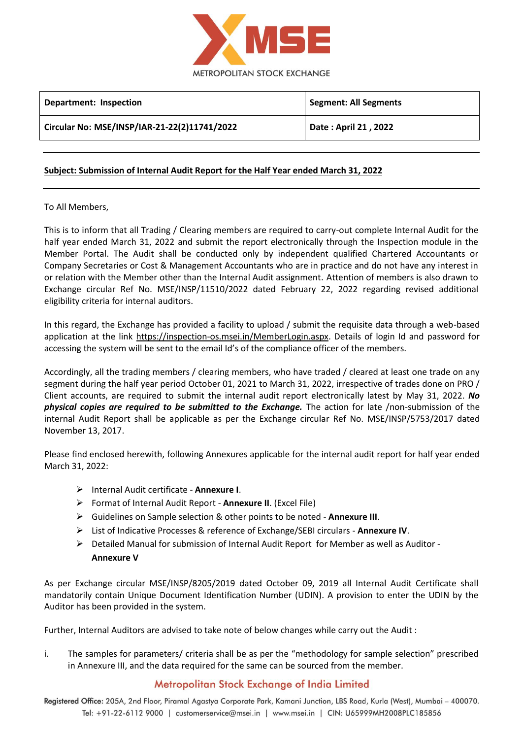

| Department: Inspection                       | <b>Segment: All Segments</b> |
|----------------------------------------------|------------------------------|
| Circular No: MSE/INSP/IAR-21-22(2)11741/2022 | Date: April 21, 2022         |
|                                              |                              |

## **Subject: Submission of Internal Audit Report for the Half Year ended March 31, 2022**

## To All Members,

This is to inform that all Trading / Clearing members are required to carry-out complete Internal Audit for the half year ended March 31, 2022 and submit the report electronically through the Inspection module in the Member Portal. The Audit shall be conducted only by independent qualified Chartered Accountants or Company Secretaries or Cost & Management Accountants who are in practice and do not have any interest in or relation with the Member other than the Internal Audit assignment. Attention of members is also drawn to Exchange circular Ref No. MSE/INSP/11510/2022 dated February 22, 2022 regarding revised additional eligibility criteria for internal auditors.

In this regard, the Exchange has provided a facility to upload / submit the requisite data through a web-based application at the link [https://inspection-os.msei.in/MemberLogin.aspx.](https://inspection-os.msei.in/MemberLogin.aspx) Details of login Id and password for accessing the system will be sent to the email Id's of the compliance officer of the members.

Accordingly, all the trading members / clearing members, who have traded / cleared at least one trade on any segment during the half year period October 01, 2021 to March 31, 2022, irrespective of trades done on PRO / Client accounts, are required to submit the internal audit report electronically latest by May 31, 2022. *No physical copies are required to be submitted to the Exchange.* The action for late /non-submission of the internal Audit Report shall be applicable as per the Exchange circular Ref No. MSE/INSP/5753/2017 dated November 13, 2017.

Please find enclosed herewith, following Annexures applicable for the internal audit report for half year ended March 31, 2022:

- Internal Audit certificate **Annexure I**.
- Format of Internal Audit Report **Annexure II**. (Excel File)
- Guidelines on Sample selection & other points to be noted **Annexure III**.
- List of Indicative Processes & reference of Exchange/SEBI circulars **Annexure IV**.
- $\triangleright$  Detailed Manual for submission of Internal Audit Report for Member as well as Auditor -**Annexure V**

As per Exchange circular MSE/INSP/8205/2019 dated October 09, 2019 all Internal Audit Certificate shall mandatorily contain Unique Document Identification Number (UDIN). A provision to enter the UDIN by the Auditor has been provided in the system.

Further, Internal Auditors are advised to take note of below changes while carry out the Audit :

i. The samples for parameters/ criteria shall be as per the "methodology for sample selection" prescribed in Annexure III, and the data required for the same can be sourced from the member.

## **Metropolitan Stock Exchange of India Limited**

Registered Office: 205A, 2nd Floor, Piramal Agastya Corporate Park, Kamani Junction, LBS Road, Kurla (West), Mumbai - 400070. Tel: +91-22-6112 9000 | customerservice@msei.in | www.msei.in | CIN: U65999MH2008PLC185856